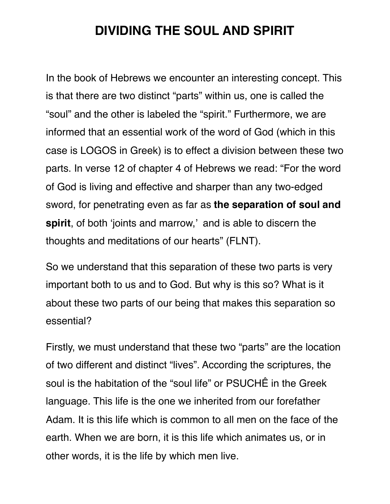## **DIVIDING THE SOUL AND SPIRIT**

In the book of Hebrews we encounter an interesting concept. This is that there are two distinct "parts" within us, one is called the "soul" and the other is labeled the "spirit." Furthermore, we are informed that an essential work of the word of God (which in this case is LOGOS in Greek) is to effect a division between these two parts. In verse 12 of chapter 4 of Hebrews we read: "For the word of God is living and effective and sharper than any two-edged sword, for penetrating even as far as **the separation of soul and spirit**, of both 'joints and marrow,' and is able to discern the thoughts and meditations of our hearts" (FLNT).

So we understand that this separation of these two parts is very important both to us and to God. But why is this so? What is it about these two parts of our being that makes this separation so essential?

Firstly, we must understand that these two "parts" are the location of two different and distinct "lives". According the scriptures, the soul is the habitation of the "soul life" or PSUCHÊ in the Greek language. This life is the one we inherited from our forefather Adam. It is this life which is common to all men on the face of the earth. When we are born, it is this life which animates us, or in other words, it is the life by which men live.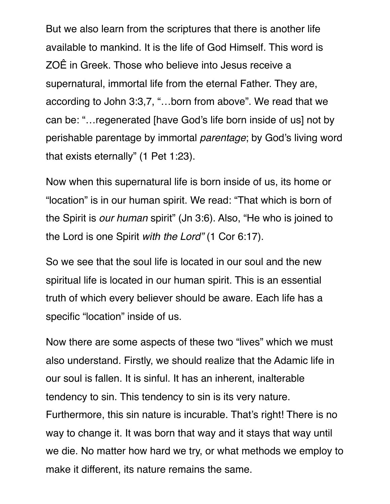But we also learn from the scriptures that there is another life available to mankind. It is the life of God Himself. This word is ZOÊ in Greek. Those who believe into Jesus receive a supernatural, immortal life from the eternal Father. They are, according to John 3:3,7, "…born from above". We read that we can be: "…regenerated [have God's life born inside of us] not by perishable parentage by immortal *parentage*; by God's living word that exists eternally" (1 Pet 1:23).

Now when this supernatural life is born inside of us, its home or "location" is in our human spirit. We read: "That which is born of the Spirit is *our human* spirit" (Jn 3:6). Also, "He who is joined to the Lord is one Spirit *with the Lord"* (1 Cor 6:17).

So we see that the soul life is located in our soul and the new spiritual life is located in our human spirit. This is an essential truth of which every believer should be aware. Each life has a specific "location" inside of us.

Now there are some aspects of these two "lives" which we must also understand. Firstly, we should realize that the Adamic life in our soul is fallen. It is sinful. It has an inherent, inalterable tendency to sin. This tendency to sin is its very nature. Furthermore, this sin nature is incurable. That's right! There is no way to change it. It was born that way and it stays that way until we die. No matter how hard we try, or what methods we employ to make it different, its nature remains the same.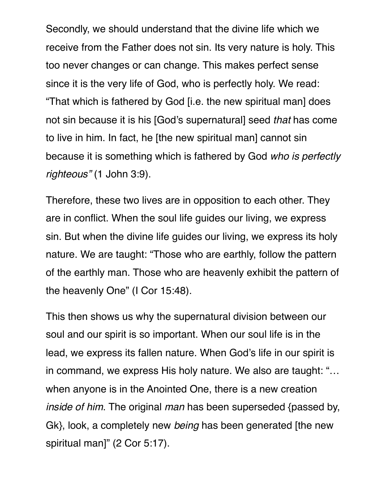Secondly, we should understand that the divine life which we receive from the Father does not sin. Its very nature is holy. This too never changes or can change. This makes perfect sense since it is the very life of God, who is perfectly holy. We read: "That which is fathered by God [i.e. the new spiritual man] does not sin because it is his [God's supernatural] seed *that* has come to live in him. In fact, he [the new spiritual man] cannot sin because it is something which is fathered by God *who is perfectly righteous"* (1 John 3:9).

Therefore, these two lives are in opposition to each other. They are in conflict. When the soul life guides our living, we express sin. But when the divine life guides our living, we express its holy nature. We are taught: "Those who are earthly, follow the pattern of the earthly man. Those who are heavenly exhibit the pattern of the heavenly One" (I Cor 15:48).

This then shows us why the supernatural division between our soul and our spirit is so important. When our soul life is in the lead, we express its fallen nature. When God's life in our spirit is in command, we express His holy nature. We also are taught: "… when anyone is in the Anointed One, there is a new creation *inside of him*. The original *man* has been superseded {passed by, Gk}, look, a completely new *being* has been generated [the new spiritual man]" (2 Cor 5:17).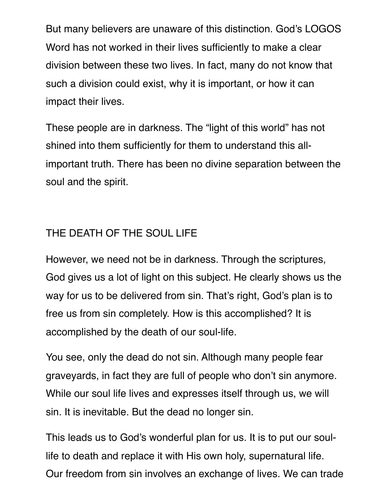But many believers are unaware of this distinction. God's LOGOS Word has not worked in their lives sufficiently to make a clear division between these two lives. In fact, many do not know that such a division could exist, why it is important, or how it can impact their lives.

These people are in darkness. The "light of this world" has not shined into them sufficiently for them to understand this allimportant truth. There has been no divine separation between the soul and the spirit.

#### THE DEATH OF THE SOUL LIFE

However, we need not be in darkness. Through the scriptures, God gives us a lot of light on this subject. He clearly shows us the way for us to be delivered from sin. That's right, God's plan is to free us from sin completely. How is this accomplished? It is accomplished by the death of our soul-life.

You see, only the dead do not sin. Although many people fear graveyards, in fact they are full of people who don't sin anymore. While our soul life lives and expresses itself through us, we will sin. It is inevitable. But the dead no longer sin.

This leads us to God's wonderful plan for us. It is to put our soullife to death and replace it with His own holy, supernatural life. Our freedom from sin involves an exchange of lives. We can trade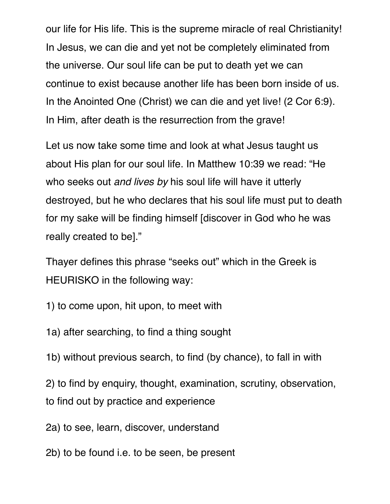our life for His life. This is the supreme miracle of real Christianity! In Jesus, we can die and yet not be completely eliminated from the universe. Our soul life can be put to death yet we can continue to exist because another life has been born inside of us. In the Anointed One (Christ) we can die and yet live! (2 Cor 6:9). In Him, after death is the resurrection from the grave!

Let us now take some time and look at what Jesus taught us about His plan for our soul life. In Matthew 10:39 we read: "He who seeks out *and lives by* his soul life will have it utterly destroyed, but he who declares that his soul life must put to death for my sake will be finding himself [discover in God who he was really created to be]."

Thayer defines this phrase "seeks out" which in the Greek is HEURISKO in the following way:

1) to come upon, hit upon, to meet with

1a) after searching, to find a thing sought

1b) without previous search, to find (by chance), to fall in with

2) to find by enquiry, thought, examination, scrutiny, observation, to find out by practice and experience

2a) to see, learn, discover, understand

2b) to be found i.e. to be seen, be present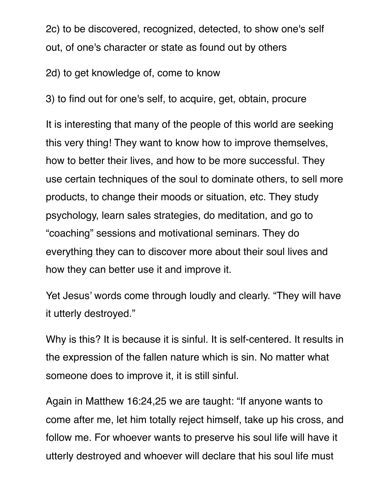2c) to be discovered, recognized, detected, to show one's self out, of one's character or state as found out by others

2d) to get knowledge of, come to know

3) to find out for one's self, to acquire, get, obtain, procure

It is interesting that many of the people of this world are seeking this very thing! They want to know how to improve themselves, how to better their lives, and how to be more successful. They use certain techniques of the soul to dominate others, to sell more products, to change their moods or situation, etc. They study psychology, learn sales strategies, do meditation, and go to "coaching" sessions and motivational seminars. They do everything they can to discover more about their soul lives and how they can better use it and improve it.

Yet Jesus' words come through loudly and clearly. "They will have it utterly destroyed."

Why is this? It is because it is sinful. It is self-centered. It results in the expression of the fallen nature which is sin. No matter what someone does to improve it, it is still sinful.

Again in Matthew 16:24,25 we are taught: "If anyone wants to come after me, let him totally reject himself, take up his cross, and follow me. For whoever wants to preserve his soul life will have it utterly destroyed and whoever will declare that his soul life must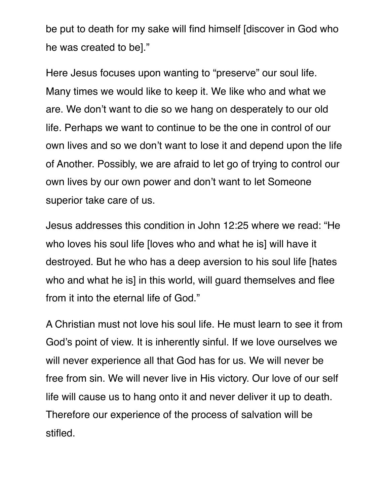be put to death for my sake will find himself [discover in God who he was created to be]."

Here Jesus focuses upon wanting to "preserve" our soul life. Many times we would like to keep it. We like who and what we are. We don't want to die so we hang on desperately to our old life. Perhaps we want to continue to be the one in control of our own lives and so we don't want to lose it and depend upon the life of Another. Possibly, we are afraid to let go of trying to control our own lives by our own power and don't want to let Someone superior take care of us.

Jesus addresses this condition in John 12:25 where we read: "He who loves his soul life [loves who and what he is] will have it destroyed. But he who has a deep aversion to his soul life [hates who and what he is] in this world, will guard themselves and flee from it into the eternal life of God."

A Christian must not love his soul life. He must learn to see it from God's point of view. It is inherently sinful. If we love ourselves we will never experience all that God has for us. We will never be free from sin. We will never live in His victory. Our love of our self life will cause us to hang onto it and never deliver it up to death. Therefore our experience of the process of salvation will be stifled.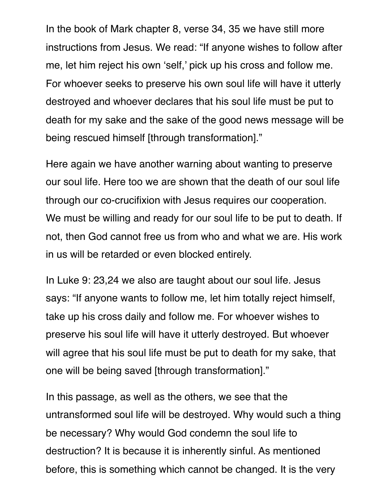In the book of Mark chapter 8, verse 34, 35 we have still more instructions from Jesus. We read: "If anyone wishes to follow after me, let him reject his own 'self,' pick up his cross and follow me. For whoever seeks to preserve his own soul life will have it utterly destroyed and whoever declares that his soul life must be put to death for my sake and the sake of the good news message will be being rescued himself [through transformation]."

Here again we have another warning about wanting to preserve our soul life. Here too we are shown that the death of our soul life through our co-crucifixion with Jesus requires our cooperation. We must be willing and ready for our soul life to be put to death. If not, then God cannot free us from who and what we are. His work in us will be retarded or even blocked entirely.

In Luke 9: 23,24 we also are taught about our soul life. Jesus says: "If anyone wants to follow me, let him totally reject himself, take up his cross daily and follow me. For whoever wishes to preserve his soul life will have it utterly destroyed. But whoever will agree that his soul life must be put to death for my sake, that one will be being saved [through transformation]."

In this passage, as well as the others, we see that the untransformed soul life will be destroyed. Why would such a thing be necessary? Why would God condemn the soul life to destruction? It is because it is inherently sinful. As mentioned before, this is something which cannot be changed. It is the very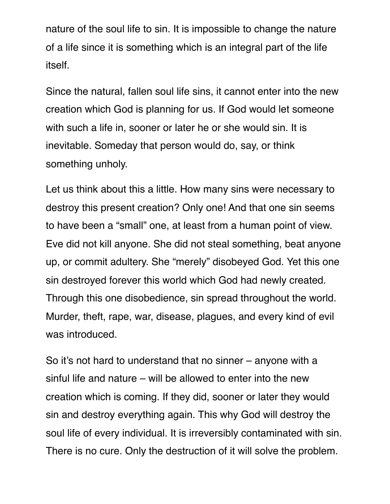nature of the soul life to sin. It is impossible to change the nature of a life since it is something which is an integral part of the life itself.

Since the natural, fallen soul life sins, it cannot enter into the new creation which God is planning for us. If God would let someone with such a life in, sooner or later he or she would sin. It is inevitable. Someday that person would do, say, or think something unholy.

Let us think about this a little. How many sins were necessary to destroy this present creation? Only one! And that one sin seems to have been a "small" one, at least from a human point of view. Eve did not kill anyone. She did not steal something, beat anyone up, or commit adultery. She "merely" disobeyed God. Yet this one sin destroyed forever this world which God had newly created. Through this one disobedience, sin spread throughout the world. Murder, theft, rape, war, disease, plagues, and every kind of evil was introduced.

So it's not hard to understand that no sinner – anyone with a sinful life and nature – will be allowed to enter into the new creation which is coming. If they did, sooner or later they would sin and destroy everything again. This why God will destroy the soul life of every individual. It is irreversibly contaminated with sin. There is no cure. Only the destruction of it will solve the problem.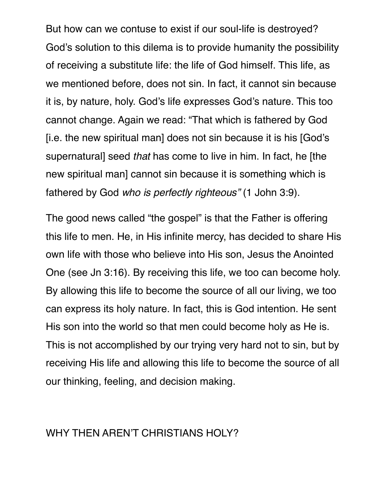But how can we contuse to exist if our soul-life is destroyed? God's solution to this dilema is to provide humanity the possibility of receiving a substitute life: the life of God himself. This life, as we mentioned before, does not sin. In fact, it cannot sin because it is, by nature, holy. God's life expresses God's nature. This too cannot change. Again we read: "That which is fathered by God [i.e. the new spiritual man] does not sin because it is his [God's supernatural] seed *that* has come to live in him. In fact, he [the new spiritual man] cannot sin because it is something which is fathered by God *who is perfectly righteous"* (1 John 3:9).

The good news called "the gospel" is that the Father is offering this life to men. He, in His infinite mercy, has decided to share His own life with those who believe into His son, Jesus the Anointed One (see Jn 3:16). By receiving this life, we too can become holy. By allowing this life to become the source of all our living, we too can express its holy nature. In fact, this is God intention. He sent His son into the world so that men could become holy as He is. This is not accomplished by our trying very hard not to sin, but by receiving His life and allowing this life to become the source of all our thinking, feeling, and decision making.

#### WHY THEN AREN'T CHRISTIANS HOLY?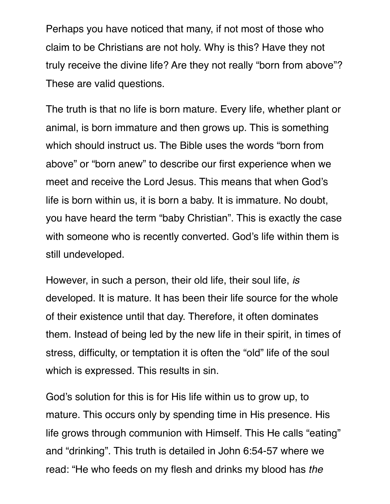Perhaps you have noticed that many, if not most of those who claim to be Christians are not holy. Why is this? Have they not truly receive the divine life? Are they not really "born from above"? These are valid questions.

The truth is that no life is born mature. Every life, whether plant or animal, is born immature and then grows up. This is something which should instruct us. The Bible uses the words "born from above" or "born anew" to describe our first experience when we meet and receive the Lord Jesus. This means that when God's life is born within us, it is born a baby. It is immature. No doubt, you have heard the term "baby Christian". This is exactly the case with someone who is recently converted. God's life within them is still undeveloped.

However, in such a person, their old life, their soul life, *is* developed. It is mature. It has been their life source for the whole of their existence until that day. Therefore, it often dominates them. Instead of being led by the new life in their spirit, in times of stress, difficulty, or temptation it is often the "old" life of the soul which is expressed. This results in sin.

God's solution for this is for His life within us to grow up, to mature. This occurs only by spending time in His presence. His life grows through communion with Himself. This He calls "eating" and "drinking". This truth is detailed in John 6:54-57 where we read: "He who feeds on my flesh and drinks my blood has *the*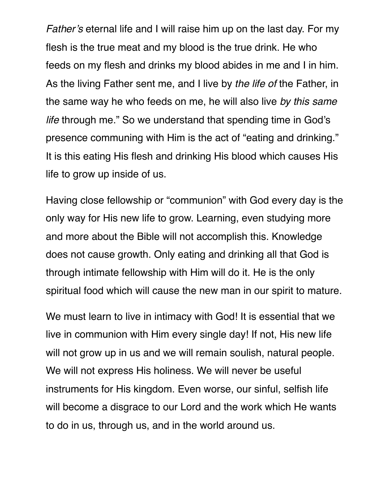*Father's* eternal life and I will raise him up on the last day. For my flesh is the true meat and my blood is the true drink. He who feeds on my flesh and drinks my blood abides in me and I in him. As the living Father sent me, and I live by *the life of* the Father, in the same way he who feeds on me, he will also live *by this same life* through me." So we understand that spending time in God's presence communing with Him is the act of "eating and drinking." It is this eating His flesh and drinking His blood which causes His life to grow up inside of us.

Having close fellowship or "communion" with God every day is the only way for His new life to grow. Learning, even studying more and more about the Bible will not accomplish this. Knowledge does not cause growth. Only eating and drinking all that God is through intimate fellowship with Him will do it. He is the only spiritual food which will cause the new man in our spirit to mature.

We must learn to live in intimacy with God! It is essential that we live in communion with Him every single day! If not, His new life will not grow up in us and we will remain soulish, natural people. We will not express His holiness. We will never be useful instruments for His kingdom. Even worse, our sinful, selfish life will become a disgrace to our Lord and the work which He wants to do in us, through us, and in the world around us.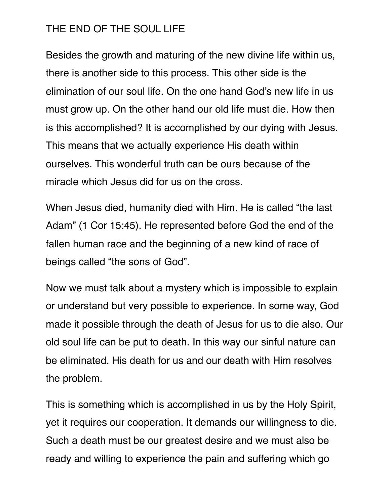#### THE END OF THE SOUL LIFE

Besides the growth and maturing of the new divine life within us, there is another side to this process. This other side is the elimination of our soul life. On the one hand God's new life in us must grow up. On the other hand our old life must die. How then is this accomplished? It is accomplished by our dying with Jesus. This means that we actually experience His death within ourselves. This wonderful truth can be ours because of the miracle which Jesus did for us on the cross.

When Jesus died, humanity died with Him. He is called "the last Adam" (1 Cor 15:45). He represented before God the end of the fallen human race and the beginning of a new kind of race of beings called "the sons of God".

Now we must talk about a mystery which is impossible to explain or understand but very possible to experience. In some way, God made it possible through the death of Jesus for us to die also. Our old soul life can be put to death. In this way our sinful nature can be eliminated. His death for us and our death with Him resolves the problem.

This is something which is accomplished in us by the Holy Spirit, yet it requires our cooperation. It demands our willingness to die. Such a death must be our greatest desire and we must also be ready and willing to experience the pain and suffering which go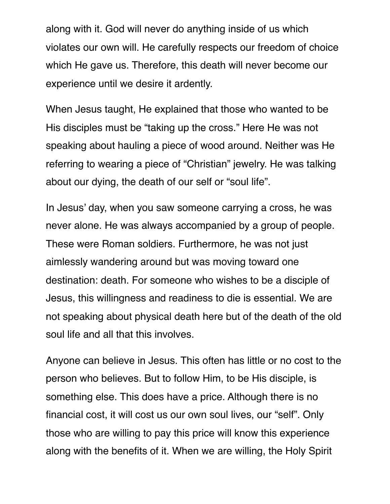along with it. God will never do anything inside of us which violates our own will. He carefully respects our freedom of choice which He gave us. Therefore, this death will never become our experience until we desire it ardently.

When Jesus taught, He explained that those who wanted to be His disciples must be "taking up the cross." Here He was not speaking about hauling a piece of wood around. Neither was He referring to wearing a piece of "Christian" jewelry. He was talking about our dying, the death of our self or "soul life".

In Jesus' day, when you saw someone carrying a cross, he was never alone. He was always accompanied by a group of people. These were Roman soldiers. Furthermore, he was not just aimlessly wandering around but was moving toward one destination: death. For someone who wishes to be a disciple of Jesus, this willingness and readiness to die is essential. We are not speaking about physical death here but of the death of the old soul life and all that this involves.

Anyone can believe in Jesus. This often has little or no cost to the person who believes. But to follow Him, to be His disciple, is something else. This does have a price. Although there is no financial cost, it will cost us our own soul lives, our "self". Only those who are willing to pay this price will know this experience along with the benefits of it. When we are willing, the Holy Spirit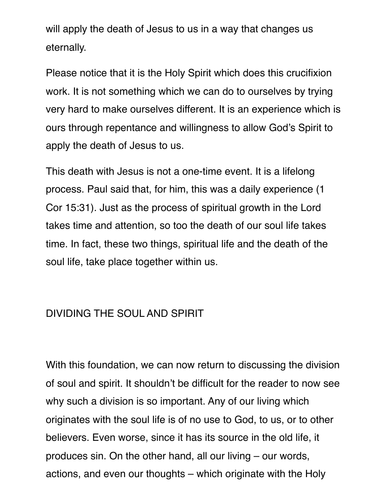will apply the death of Jesus to us in a way that changes us eternally.

Please notice that it is the Holy Spirit which does this crucifixion work. It is not something which we can do to ourselves by trying very hard to make ourselves different. It is an experience which is ours through repentance and willingness to allow God's Spirit to apply the death of Jesus to us.

This death with Jesus is not a one-time event. It is a lifelong process. Paul said that, for him, this was a daily experience (1 Cor 15:31). Just as the process of spiritual growth in the Lord takes time and attention, so too the death of our soul life takes time. In fact, these two things, spiritual life and the death of the soul life, take place together within us.

#### DIVIDING THE SOUL AND SPIRIT

With this foundation, we can now return to discussing the division of soul and spirit. It shouldn't be difficult for the reader to now see why such a division is so important. Any of our living which originates with the soul life is of no use to God, to us, or to other believers. Even worse, since it has its source in the old life, it produces sin. On the other hand, all our living – our words, actions, and even our thoughts – which originate with the Holy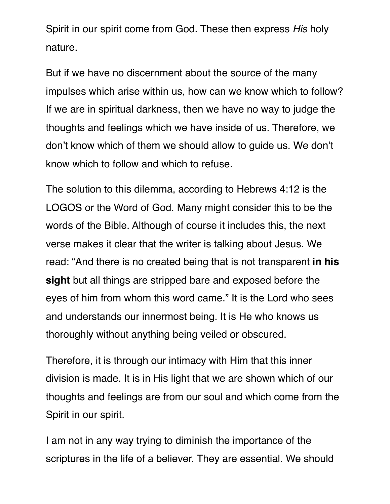Spirit in our spirit come from God. These then express *His* holy nature.

But if we have no discernment about the source of the many impulses which arise within us, how can we know which to follow? If we are in spiritual darkness, then we have no way to judge the thoughts and feelings which we have inside of us. Therefore, we don't know which of them we should allow to guide us. We don't know which to follow and which to refuse.

The solution to this dilemma, according to Hebrews 4:12 is the LOGOS or the Word of God. Many might consider this to be the words of the Bible. Although of course it includes this, the next verse makes it clear that the writer is talking about Jesus. We read: "And there is no created being that is not transparent **in his sight** but all things are stripped bare and exposed before the eyes of him from whom this word came." It is the Lord who sees and understands our innermost being. It is He who knows us thoroughly without anything being veiled or obscured.

Therefore, it is through our intimacy with Him that this inner division is made. It is in His light that we are shown which of our thoughts and feelings are from our soul and which come from the Spirit in our spirit.

I am not in any way trying to diminish the importance of the scriptures in the life of a believer. They are essential. We should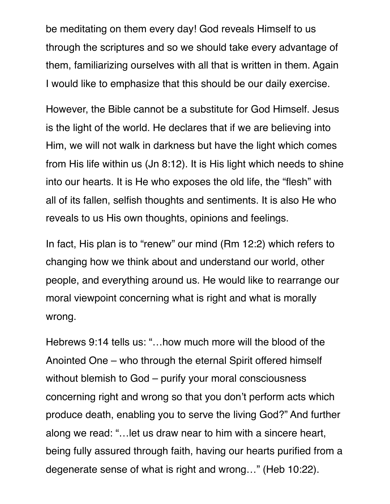be meditating on them every day! God reveals Himself to us through the scriptures and so we should take every advantage of them, familiarizing ourselves with all that is written in them. Again I would like to emphasize that this should be our daily exercise.

However, the Bible cannot be a substitute for God Himself. Jesus is the light of the world. He declares that if we are believing into Him, we will not walk in darkness but have the light which comes from His life within us (Jn 8:12). It is His light which needs to shine into our hearts. It is He who exposes the old life, the "flesh" with all of its fallen, selfish thoughts and sentiments. It is also He who reveals to us His own thoughts, opinions and feelings.

In fact, His plan is to "renew" our mind (Rm 12:2) which refers to changing how we think about and understand our world, other people, and everything around us. He would like to rearrange our moral viewpoint concerning what is right and what is morally wrong.

Hebrews 9:14 tells us: "…how much more will the blood of the Anointed One – who through the eternal Spirit offered himself without blemish to God – purify your moral consciousness concerning right and wrong so that you don't perform acts which produce death, enabling you to serve the living God?" And further along we read: "…let us draw near to him with a sincere heart, being fully assured through faith, having our hearts purified from a degenerate sense of what is right and wrong…" (Heb 10:22).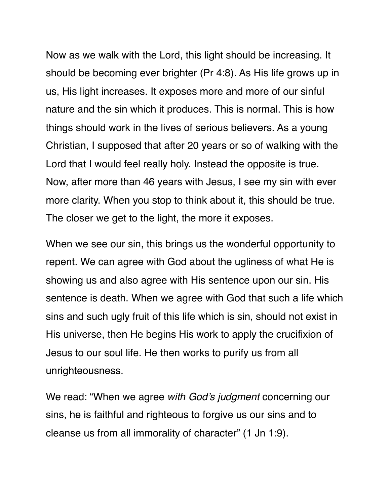Now as we walk with the Lord, this light should be increasing. It should be becoming ever brighter (Pr 4:8). As His life grows up in us, His light increases. It exposes more and more of our sinful nature and the sin which it produces. This is normal. This is how things should work in the lives of serious believers. As a young Christian, I supposed that after 20 years or so of walking with the Lord that I would feel really holy. Instead the opposite is true. Now, after more than 46 years with Jesus, I see my sin with ever more clarity. When you stop to think about it, this should be true. The closer we get to the light, the more it exposes.

When we see our sin, this brings us the wonderful opportunity to repent. We can agree with God about the ugliness of what He is showing us and also agree with His sentence upon our sin. His sentence is death. When we agree with God that such a life which sins and such ugly fruit of this life which is sin, should not exist in His universe, then He begins His work to apply the crucifixion of Jesus to our soul life. He then works to purify us from all unrighteousness.

We read: "When we agree *with God's judgment* concerning our sins, he is faithful and righteous to forgive us our sins and to cleanse us from all immorality of character" (1 Jn 1:9).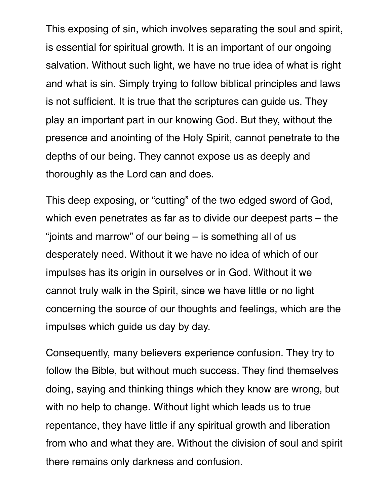This exposing of sin, which involves separating the soul and spirit, is essential for spiritual growth. It is an important of our ongoing salvation. Without such light, we have no true idea of what is right and what is sin. Simply trying to follow biblical principles and laws is not sufficient. It is true that the scriptures can guide us. They play an important part in our knowing God. But they, without the presence and anointing of the Holy Spirit, cannot penetrate to the depths of our being. They cannot expose us as deeply and thoroughly as the Lord can and does.

This deep exposing, or "cutting" of the two edged sword of God, which even penetrates as far as to divide our deepest parts – the "joints and marrow" of our being – is something all of us desperately need. Without it we have no idea of which of our impulses has its origin in ourselves or in God. Without it we cannot truly walk in the Spirit, since we have little or no light concerning the source of our thoughts and feelings, which are the impulses which guide us day by day.

Consequently, many believers experience confusion. They try to follow the Bible, but without much success. They find themselves doing, saying and thinking things which they know are wrong, but with no help to change. Without light which leads us to true repentance, they have little if any spiritual growth and liberation from who and what they are. Without the division of soul and spirit there remains only darkness and confusion.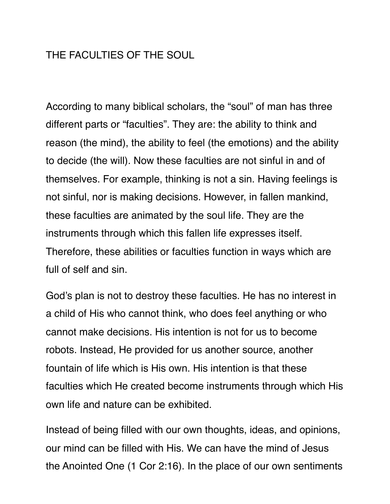#### THE FACULTIES OF THE SOUL

According to many biblical scholars, the "soul" of man has three different parts or "faculties". They are: the ability to think and reason (the mind), the ability to feel (the emotions) and the ability to decide (the will). Now these faculties are not sinful in and of themselves. For example, thinking is not a sin. Having feelings is not sinful, nor is making decisions. However, in fallen mankind, these faculties are animated by the soul life. They are the instruments through which this fallen life expresses itself. Therefore, these abilities or faculties function in ways which are full of self and sin.

God's plan is not to destroy these faculties. He has no interest in a child of His who cannot think, who does feel anything or who cannot make decisions. His intention is not for us to become robots. Instead, He provided for us another source, another fountain of life which is His own. His intention is that these faculties which He created become instruments through which His own life and nature can be exhibited.

Instead of being filled with our own thoughts, ideas, and opinions, our mind can be filled with His. We can have the mind of Jesus the Anointed One (1 Cor 2:16). In the place of our own sentiments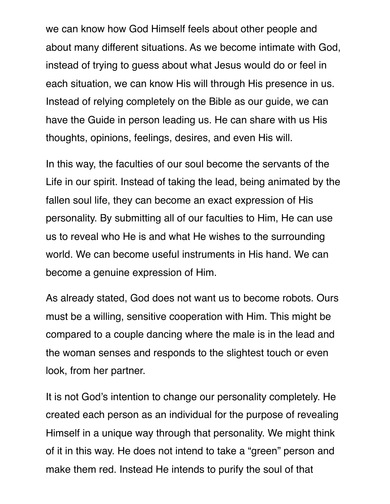we can know how God Himself feels about other people and about many different situations. As we become intimate with God, instead of trying to guess about what Jesus would do or feel in each situation, we can know His will through His presence in us. Instead of relying completely on the Bible as our guide, we can have the Guide in person leading us. He can share with us His thoughts, opinions, feelings, desires, and even His will.

In this way, the faculties of our soul become the servants of the Life in our spirit. Instead of taking the lead, being animated by the fallen soul life, they can become an exact expression of His personality. By submitting all of our faculties to Him, He can use us to reveal who He is and what He wishes to the surrounding world. We can become useful instruments in His hand. We can become a genuine expression of Him.

As already stated, God does not want us to become robots. Ours must be a willing, sensitive cooperation with Him. This might be compared to a couple dancing where the male is in the lead and the woman senses and responds to the slightest touch or even look, from her partner.

It is not God's intention to change our personality completely. He created each person as an individual for the purpose of revealing Himself in a unique way through that personality. We might think of it in this way. He does not intend to take a "green" person and make them red. Instead He intends to purify the soul of that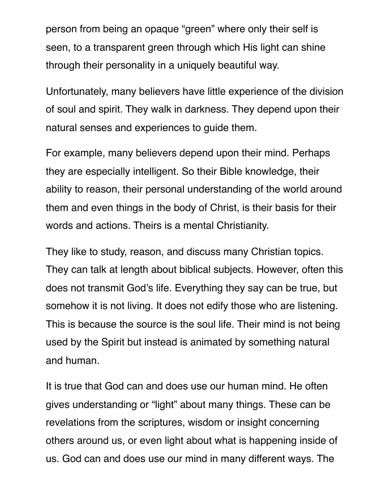person from being an opaque "green" where only their self is seen, to a transparent green through which His light can shine through their personality in a uniquely beautiful way.

Unfortunately, many believers have little experience of the division of soul and spirit. They walk in darkness. They depend upon their natural senses and experiences to guide them.

For example, many believers depend upon their mind. Perhaps they are especially intelligent. So their Bible knowledge, their ability to reason, their personal understanding of the world around them and even things in the body of Christ, is their basis for their words and actions. Theirs is a mental Christianity.

They like to study, reason, and discuss many Christian topics. They can talk at length about biblical subjects. However, often this does not transmit God's life. Everything they say can be true, but somehow it is not living. It does not edify those who are listening. This is because the source is the soul life. Their mind is not being used by the Spirit but instead is animated by something natural and human.

It is true that God can and does use our human mind. He often gives understanding or "light" about many things. These can be revelations from the scriptures, wisdom or insight concerning others around us, or even light about what is happening inside of us. God can and does use our mind in many different ways. The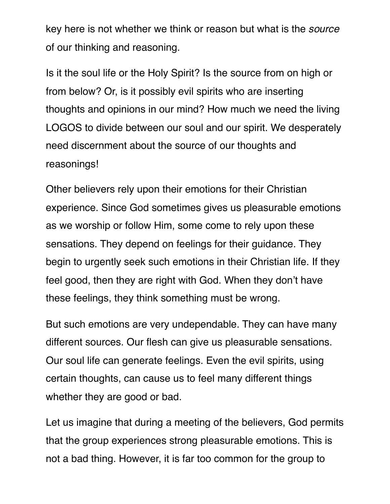key here is not whether we think or reason but what is the *source* of our thinking and reasoning.

Is it the soul life or the Holy Spirit? Is the source from on high or from below? Or, is it possibly evil spirits who are inserting thoughts and opinions in our mind? How much we need the living LOGOS to divide between our soul and our spirit. We desperately need discernment about the source of our thoughts and reasonings!

Other believers rely upon their emotions for their Christian experience. Since God sometimes gives us pleasurable emotions as we worship or follow Him, some come to rely upon these sensations. They depend on feelings for their guidance. They begin to urgently seek such emotions in their Christian life. If they feel good, then they are right with God. When they don't have these feelings, they think something must be wrong.

But such emotions are very undependable. They can have many different sources. Our flesh can give us pleasurable sensations. Our soul life can generate feelings. Even the evil spirits, using certain thoughts, can cause us to feel many different things whether they are good or bad.

Let us imagine that during a meeting of the believers, God permits that the group experiences strong pleasurable emotions. This is not a bad thing. However, it is far too common for the group to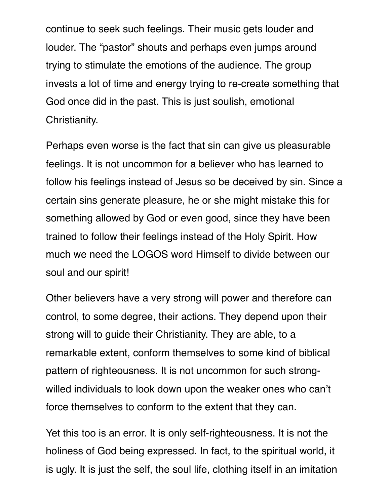continue to seek such feelings. Their music gets louder and louder. The "pastor" shouts and perhaps even jumps around trying to stimulate the emotions of the audience. The group invests a lot of time and energy trying to re-create something that God once did in the past. This is just soulish, emotional Christianity.

Perhaps even worse is the fact that sin can give us pleasurable feelings. It is not uncommon for a believer who has learned to follow his feelings instead of Jesus so be deceived by sin. Since a certain sins generate pleasure, he or she might mistake this for something allowed by God or even good, since they have been trained to follow their feelings instead of the Holy Spirit. How much we need the LOGOS word Himself to divide between our soul and our spirit!

Other believers have a very strong will power and therefore can control, to some degree, their actions. They depend upon their strong will to guide their Christianity. They are able, to a remarkable extent, conform themselves to some kind of biblical pattern of righteousness. It is not uncommon for such strongwilled individuals to look down upon the weaker ones who can't force themselves to conform to the extent that they can.

Yet this too is an error. It is only self-righteousness. It is not the holiness of God being expressed. In fact, to the spiritual world, it is ugly. It is just the self, the soul life, clothing itself in an imitation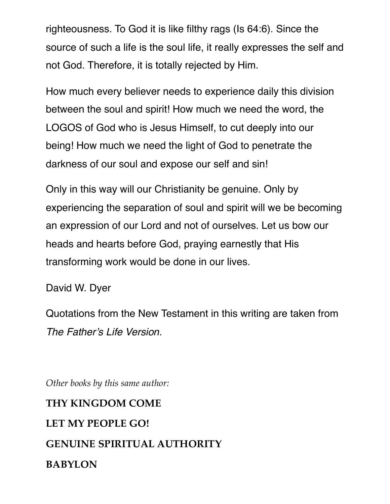righteousness. To God it is like filthy rags (Is 64:6). Since the source of such a life is the soul life, it really expresses the self and not God. Therefore, it is totally rejected by Him.

How much every believer needs to experience daily this division between the soul and spirit! How much we need the word, the LOGOS of God who is Jesus Himself, to cut deeply into our being! How much we need the light of God to penetrate the darkness of our soul and expose our self and sin!

Only in this way will our Christianity be genuine. Only by experiencing the separation of soul and spirit will we be becoming an expression of our Lord and not of ourselves. Let us bow our heads and hearts before God, praying earnestly that His transforming work would be done in our lives.

David W. Dyer

Quotations from the New Testament in this writing are taken from *The Father's Life Version*.

*Other books by this same author:* 

# **THY KINGDOM COME LET MY PEOPLE GO! GENUINE SPIRITUAL AUTHORITY BABYLON**